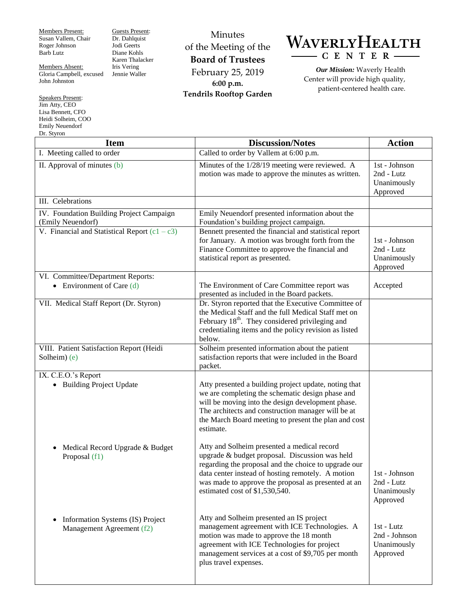Members Present: Susan Vallem, Chair Roger Johnson Barb Lutz

Members Absent: Gloria Campbell, excused John Johnston

Speakers Present: Jim Atty, CEO Lisa Bennett, CFO Heidi Solheim, COO Emily Neuendorf

Guests Present: Dr. Dahlquist Jodi Geerts Diane Kohls Karen Thalacker Iris Vering Jennie Waller

Minutes of the Meeting of the **Board of Trustees** February 25, 2019 **6:00 p.m. Tendrils Rooftop Garden**



*Our Mission:* Waverly Health Center will provide high quality, patient-centered health care.

| Dr. Styron                                                                 |                                                                                                                                                                                                                                                                                                     |                                                        |
|----------------------------------------------------------------------------|-----------------------------------------------------------------------------------------------------------------------------------------------------------------------------------------------------------------------------------------------------------------------------------------------------|--------------------------------------------------------|
| <b>Item</b>                                                                | <b>Discussion/Notes</b>                                                                                                                                                                                                                                                                             | <b>Action</b>                                          |
| I. Meeting called to order                                                 | Called to order by Vallem at 6:00 p.m.                                                                                                                                                                                                                                                              |                                                        |
| II. Approval of minutes (b)                                                | Minutes of the 1/28/19 meeting were reviewed. A<br>motion was made to approve the minutes as written.                                                                                                                                                                                               | 1st - Johnson<br>2nd - Lutz<br>Unanimously<br>Approved |
| III. Celebrations                                                          |                                                                                                                                                                                                                                                                                                     |                                                        |
| IV. Foundation Building Project Campaign<br>(Emily Neuendorf)              | Emily Neuendorf presented information about the<br>Foundation's building project campaign.                                                                                                                                                                                                          |                                                        |
| V. Financial and Statistical Report $(c1 - c3)$                            | Bennett presented the financial and statistical report<br>for January. A motion was brought forth from the<br>Finance Committee to approve the financial and<br>statistical report as presented.                                                                                                    | 1st - Johnson<br>2nd - Lutz<br>Unanimously<br>Approved |
| VI. Committee/Department Reports:<br>• Environment of Care $(d)$           | The Environment of Care Committee report was<br>presented as included in the Board packets.                                                                                                                                                                                                         | Accepted                                               |
| VII. Medical Staff Report (Dr. Styron)                                     | Dr. Styron reported that the Executive Committee of<br>the Medical Staff and the full Medical Staff met on<br>February 18 <sup>th</sup> . They considered privileging and<br>credentialing items and the policy revision as listed<br>below.                                                        |                                                        |
| VIII. Patient Satisfaction Report (Heidi<br>Solheim) (e)                   | Solheim presented information about the patient<br>satisfaction reports that were included in the Board<br>packet.                                                                                                                                                                                  |                                                        |
| IX. C.E.O.'s Report<br>• Building Project Update                           | Atty presented a building project update, noting that<br>we are completing the schematic design phase and<br>will be moving into the design development phase.<br>The architects and construction manager will be at<br>the March Board meeting to present the plan and cost<br>estimate.           |                                                        |
| Medical Record Upgrade & Budget<br>$\bullet$<br>Proposal (f1)              | Atty and Solheim presented a medical record<br>upgrade & budget proposal. Discussion was held<br>regarding the proposal and the choice to upgrade our<br>data center instead of hosting remotely. A motion<br>was made to approve the proposal as presented at an<br>estimated cost of \$1,530,540. | 1st - Johnson<br>2nd - Lutz<br>Unanimously<br>Approved |
| Information Systems (IS) Project<br>$\bullet$<br>Management Agreement (f2) | Atty and Solheim presented an IS project<br>management agreement with ICE Technologies. A<br>motion was made to approve the 18 month<br>agreement with ICE Technologies for project<br>management services at a cost of \$9,705 per month<br>plus travel expenses.                                  | 1st - Lutz<br>2nd - Johnson<br>Unanimously<br>Approved |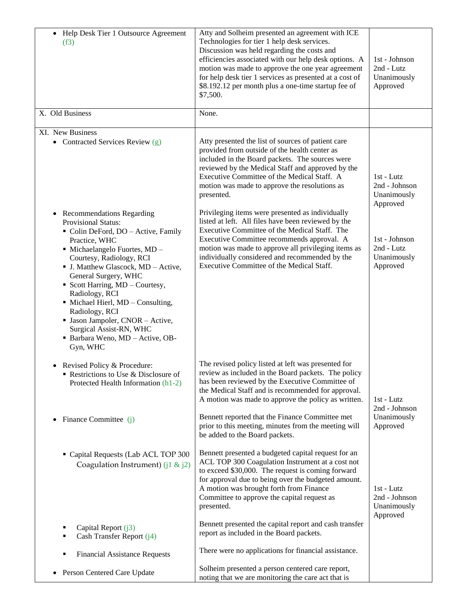| Help Desk Tier 1 Outsource Agreement<br>$\bullet$<br>(f3)                                                                                                                                                                                                                                                                                                                                                                                                                         | Atty and Solheim presented an agreement with ICE<br>Technologies for tier 1 help desk services.<br>Discussion was held regarding the costs and<br>efficiencies associated with our help desk options. A<br>motion was made to approve the one year agreement<br>for help desk tier 1 services as presented at a cost of<br>\$8.192.12 per month plus a one-time startup fee of<br>\$7,500. | 1st - Johnson<br>2nd - Lutz<br>Unanimously<br>Approved |
|-----------------------------------------------------------------------------------------------------------------------------------------------------------------------------------------------------------------------------------------------------------------------------------------------------------------------------------------------------------------------------------------------------------------------------------------------------------------------------------|--------------------------------------------------------------------------------------------------------------------------------------------------------------------------------------------------------------------------------------------------------------------------------------------------------------------------------------------------------------------------------------------|--------------------------------------------------------|
| X. Old Business                                                                                                                                                                                                                                                                                                                                                                                                                                                                   | None.                                                                                                                                                                                                                                                                                                                                                                                      |                                                        |
| XI. New Business<br>• Contracted Services Review (g)                                                                                                                                                                                                                                                                                                                                                                                                                              | Atty presented the list of sources of patient care<br>provided from outside of the health center as<br>included in the Board packets. The sources were<br>reviewed by the Medical Staff and approved by the<br>Executive Committee of the Medical Staff. A<br>motion was made to approve the resolutions as<br>presented.                                                                  | 1st - Lutz<br>2nd - Johnson<br>Unanimously<br>Approved |
| <b>Recommendations Regarding</b><br>$\bullet$<br>Provisional Status:<br>Colin DeFord, DO - Active, Family<br>Practice, WHC<br>· Michaelangelo Fuortes, MD -<br>Courtesy, Radiology, RCI<br>• J. Matthew Glascock, MD - Active,<br>General Surgery, WHC<br>• Scott Harring, MD - Courtesy,<br>Radiology, RCI<br>• Michael Hierl, MD - Consulting,<br>Radiology, RCI<br>• Jason Jampoler, CNOR - Active,<br>Surgical Assist-RN, WHC<br>· Barbara Weno, MD - Active, OB-<br>Gyn, WHC | Privileging items were presented as individually<br>listed at left. All files have been reviewed by the<br>Executive Committee of the Medical Staff. The<br>Executive Committee recommends approval. A<br>motion was made to approve all privileging items as<br>individually considered and recommended by the<br>Executive Committee of the Medical Staff.                               | 1st - Johnson<br>2nd - Lutz<br>Unanimously<br>Approved |
| Revised Policy & Procedure:<br>Restrictions to Use & Disclosure of<br>Protected Health Information (h1-2)                                                                                                                                                                                                                                                                                                                                                                         | The revised policy listed at left was presented for<br>review as included in the Board packets. The policy<br>has been reviewed by the Executive Committee of<br>the Medical Staff and is recommended for approval.<br>A motion was made to approve the policy as written.                                                                                                                 | 1st - Lutz<br>2nd - Johnson                            |
| Finance Committee (j)<br>$\bullet$                                                                                                                                                                                                                                                                                                                                                                                                                                                | Bennett reported that the Finance Committee met<br>prior to this meeting, minutes from the meeting will<br>be added to the Board packets.                                                                                                                                                                                                                                                  | Unanimously<br>Approved                                |
| Capital Requests (Lab ACL TOP 300<br>Coagulation Instrument) (j1 & j2)                                                                                                                                                                                                                                                                                                                                                                                                            | Bennett presented a budgeted capital request for an<br>ACL TOP 300 Coagulation Instrument at a cost not<br>to exceed \$30,000. The request is coming forward<br>for approval due to being over the budgeted amount.<br>A motion was brought forth from Finance<br>Committee to approve the capital request as<br>presented.                                                                | 1st - Lutz<br>2nd - Johnson<br>Unanimously<br>Approved |
| Capital Report (j3)<br>Cash Transfer Report (j4)<br>٠                                                                                                                                                                                                                                                                                                                                                                                                                             | Bennett presented the capital report and cash transfer<br>report as included in the Board packets.                                                                                                                                                                                                                                                                                         |                                                        |
| <b>Financial Assistance Requests</b><br>٠                                                                                                                                                                                                                                                                                                                                                                                                                                         | There were no applications for financial assistance.                                                                                                                                                                                                                                                                                                                                       |                                                        |
| Person Centered Care Update<br>٠                                                                                                                                                                                                                                                                                                                                                                                                                                                  | Solheim presented a person centered care report,<br>noting that we are monitoring the care act that is                                                                                                                                                                                                                                                                                     |                                                        |